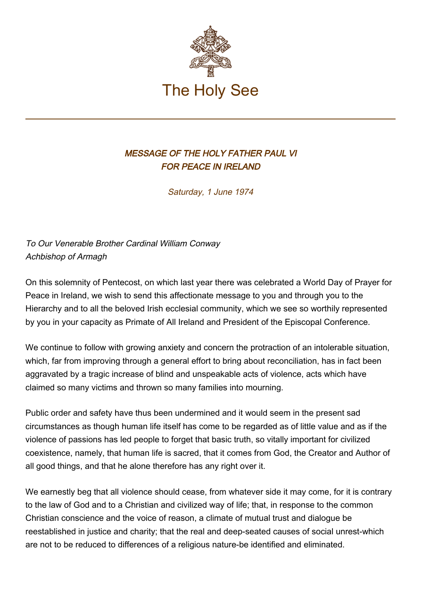

## MESSAGE OF THE HOLY FATHER PAUL VI FOR PEACE IN IRELAND

Saturday, 1 June 1974

To Our Venerable Brother Cardinal William Conway Achbishop of Armagh

On this solemnity of Pentecost, on which last year there was celebrated a World Day of Prayer for Peace in Ireland, we wish to send this affectionate message to you and through you to the Hierarchy and to all the beloved Irish ecclesial community, which we see so worthily represented by you in your capacity as Primate of All Ireland and President of the Episcopal Conference.

We continue to follow with growing anxiety and concern the protraction of an intolerable situation, which, far from improving through a general effort to bring about reconciliation, has in fact been aggravated by a tragic increase of blind and unspeakable acts of violence, acts which have claimed so many victims and thrown so many families into mourning.

Public order and safety have thus been undermined and it would seem in the present sad circumstances as though human life itself has come to be regarded as of little value and as if the violence of passions has led people to forget that basic truth, so vitally important for civilized coexistence, namely, that human life is sacred, that it comes from God, the Creator and Author of all good things, and that he alone therefore has any right over it.

We earnestly beg that all violence should cease, from whatever side it may come, for it is contrary to the law of God and to a Christian and civilized way of life; that, in response to the common Christian conscience and the voice of reason, a climate of mutual trust and dialogue be reestablished in justice and charity; that the real and deep-seated causes of social unrest-which are not to be reduced to differences of a religious nature-be identified and eliminated.